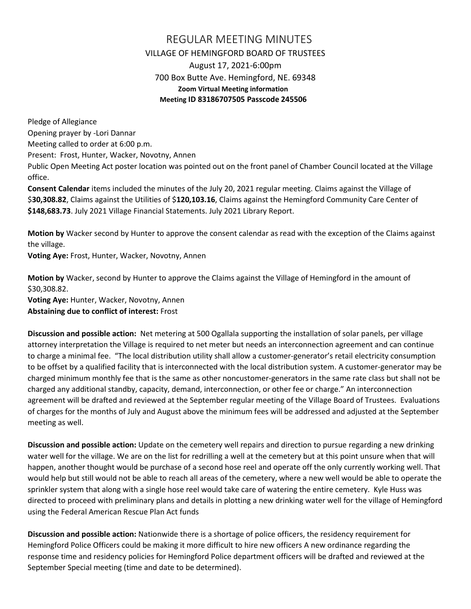## REGULAR MEETING MINUTES VILLAGE OF HEMINGFORD BOARD OF TRUSTEES August 17, 2021-6:00pm 700 Box Butte Ave. Hemingford, NE. 69348 **Zoom Virtual Meeting information Meeting ID 83186707505 Passcode 245506**

Pledge of Allegiance Opening prayer by -Lori Dannar Meeting called to order at 6:00 p.m. Present: Frost, Hunter, Wacker, Novotny, Annen Public Open Meeting Act poster location was pointed out on the front panel of Chamber Council located at the Village office. **Consent Calendar** items included the minutes of the July 20, 2021 regular meeting. Claims against the Village of

\$**30,308.82**, Claims against the Utilities of \$**120,103.16**, Claims against the Hemingford Community Care Center of **\$148,683.73**. July 2021 Village Financial Statements. July 2021 Library Report.

**Motion by** Wacker second by Hunter to approve the consent calendar as read with the exception of the Claims against the village.

**Voting Aye:** Frost, Hunter, Wacker, Novotny, Annen

**Motion by** Wacker, second by Hunter to approve the Claims against the Village of Hemingford in the amount of \$30,308.82.

**Voting Aye:** Hunter, Wacker, Novotny, Annen **Abstaining due to conflict of interest:** Frost

**Discussion and possible action:** Net metering at 500 Ogallala supporting the installation of solar panels, per village attorney interpretation the Village is required to net meter but needs an interconnection agreement and can continue to charge a minimal fee. "The local distribution utility shall allow a customer-generator's retail electricity consumption to be offset by a qualified facility that is interconnected with the local distribution system. A customer-generator may be charged minimum monthly fee that is the same as other noncustomer-generators in the same rate class but shall not be charged any additional standby, capacity, demand, interconnection, or other fee or charge." An interconnection agreement will be drafted and reviewed at the September regular meeting of the Village Board of Trustees. Evaluations of charges for the months of July and August above the minimum fees will be addressed and adjusted at the September meeting as well.

**Discussion and possible action:** Update on the cemetery well repairs and direction to pursue regarding a new drinking water well for the village. We are on the list for redrilling a well at the cemetery but at this point unsure when that will happen, another thought would be purchase of a second hose reel and operate off the only currently working well. That would help but still would not be able to reach all areas of the cemetery, where a new well would be able to operate the sprinkler system that along with a single hose reel would take care of watering the entire cemetery. Kyle Huss was directed to proceed with preliminary plans and details in plotting a new drinking water well for the village of Hemingford using the Federal American Rescue Plan Act funds

**Discussion and possible action:** Nationwide there is a shortage of police officers, the residency requirement for Hemingford Police Officers could be making it more difficult to hire new officers A new ordinance regarding the response time and residency policies for Hemingford Police department officers will be drafted and reviewed at the September Special meeting (time and date to be determined).